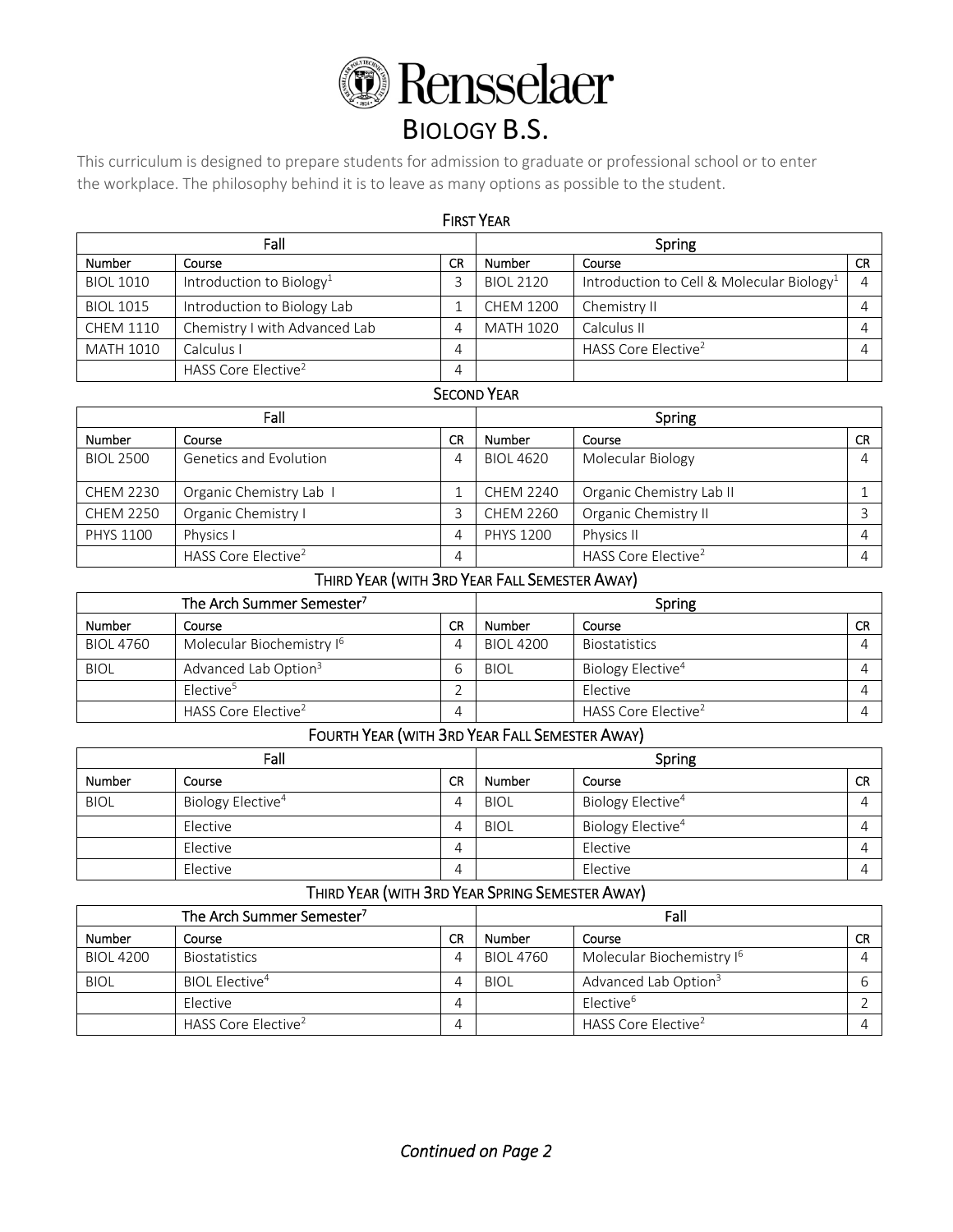

# BIOLOGY B.S.

This curriculum is designed to prepare students for admission to graduate or professional school or to enter the workplace. The philosophy behind it is to leave as many options as possible to the student.

| <b>FIRST YEAR</b> |                                      |    |                         |                                                       |  |  |
|-------------------|--------------------------------------|----|-------------------------|-------------------------------------------------------|--|--|
| Fall              |                                      |    | Spring                  |                                                       |  |  |
| <b>Number</b>     | Course                               | CR | <b>Number</b><br>Course |                                                       |  |  |
| <b>BIOL 1010</b>  | Introduction to Biology <sup>1</sup> |    | <b>BIOL 2120</b>        | Introduction to Cell & Molecular Biology <sup>1</sup> |  |  |
| <b>BIOL 1015</b>  | Introduction to Biology Lab          |    | <b>CHEM 1200</b>        | Chemistry II                                          |  |  |
| <b>CHEM 1110</b>  | Chemistry I with Advanced Lab        | 4  | <b>MATH 1020</b>        | Calculus II                                           |  |  |
| <b>MATH 1010</b>  | Calculus I                           | 4  |                         | HASS Core Elective <sup>2</sup>                       |  |  |
|                   | HASS Core Elective <sup>2</sup>      | 4  |                         |                                                       |  |  |

### SECOND YEAR

| Fall             |                                 |    | Spring           |                                 |           |
|------------------|---------------------------------|----|------------------|---------------------------------|-----------|
| <b>Number</b>    | Course                          | CR | <b>Number</b>    | Course                          | <b>CR</b> |
| <b>BIOL 2500</b> | <b>Genetics and Evolution</b>   |    | <b>BIOL 4620</b> | Molecular Biology               | Δ         |
| <b>CHEM 2230</b> | Organic Chemistry Lab I         |    | CHEM 2240        | Organic Chemistry Lab II        |           |
| <b>CHEM 2250</b> | Organic Chemistry I             |    | <b>CHEM 2260</b> | Organic Chemistry II            |           |
| PHYS 1100        | Physics I                       |    | <b>PHYS 1200</b> | Physics II                      | 4         |
|                  | HASS Core Elective <sup>2</sup> |    |                  | HASS Core Elective <sup>2</sup> |           |

## THIRD YEAR (WITH 3RD YEAR FALL SEMESTER AWAY)

| The Arch Summer Semester <sup>7</sup> |                                       |    | Spring           |                                 |           |
|---------------------------------------|---------------------------------------|----|------------------|---------------------------------|-----------|
| <b>Number</b>                         | Course                                | CR | Number           | Course                          | <b>CR</b> |
| <b>BIOL 4760</b>                      | Molecular Biochemistry I <sup>6</sup> |    | <b>BIOL 4200</b> | <b>Biostatistics</b>            |           |
| <b>BIOL</b>                           | Advanced Lab Option <sup>3</sup>      |    | <b>BIOL</b>      | Biology Elective <sup>4</sup>   |           |
|                                       | Elective <sup>5</sup>                 |    |                  | Elective                        |           |
|                                       | HASS Core Elective <sup>2</sup>       |    |                  | HASS Core Elective <sup>2</sup> |           |

## FOURTH YEAR (WITH 3RD YEAR FALL SEMESTER AWAY)

| Fall          |                               |    | Spring      |                               |           |
|---------------|-------------------------------|----|-------------|-------------------------------|-----------|
| <b>Number</b> | Course                        | CR | Number      | Course                        | <b>CR</b> |
| <b>BIOL</b>   | Biology Elective <sup>4</sup> |    | <b>BIOL</b> | Biology Elective <sup>4</sup> |           |
|               | Elective                      |    | <b>BIOL</b> | Biology Elective <sup>4</sup> |           |
|               | Elective                      |    |             | Elective                      |           |
|               | Elective                      |    |             | Elective                      |           |

## THIRD YEAR (WITH 3RD YEAR SPRING SEMESTER AWAY)

| The Arch Summer Semester <sup>7</sup> |                                 |           | Fall             |                                       |           |
|---------------------------------------|---------------------------------|-----------|------------------|---------------------------------------|-----------|
| <b>Number</b>                         | Course                          | <b>CR</b> | Number           | Course                                | <b>CR</b> |
| <b>BIOL 4200</b>                      | <b>Biostatistics</b>            |           | <b>BIOL 4760</b> | Molecular Biochemistry I <sup>6</sup> |           |
| <b>BIOL</b>                           | BIOL Elective <sup>4</sup>      |           | <b>BIOL</b>      | Advanced Lab Option <sup>3</sup>      |           |
|                                       | Elective                        |           |                  | Elective <sup>6</sup>                 |           |
|                                       | HASS Core Elective <sup>2</sup> |           |                  | HASS Core Elective <sup>2</sup>       |           |